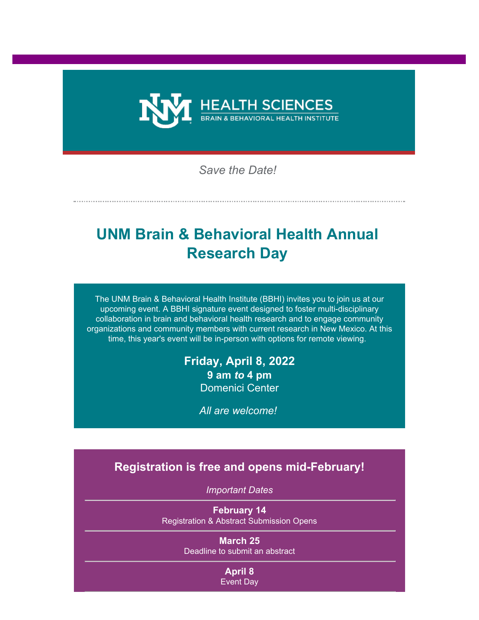

*Save the Date!*

# **UNM Brain & Behavioral Health Annual Research Day**

The UNM Brain & Behavioral Health Institute (BBHI) invites you to join us at our upcoming event. A BBHI signature event designed to foster multi-disciplinary collaboration in brain and behavioral health research and to engage community organizations and community members with current research in New Mexico. At this time, this year's event will be in-person with options for remote viewing.

# **Friday, April 8, 2022 9 am** *to* **4 pm** Domenici Center

*All are welcome!*

# **Registration is free and opens mid-February!**

*Important Dates*

**February 14** Registration & Abstract Submission Opens

> **March 25** Deadline to submit an abstract

> > **April 8** Event Day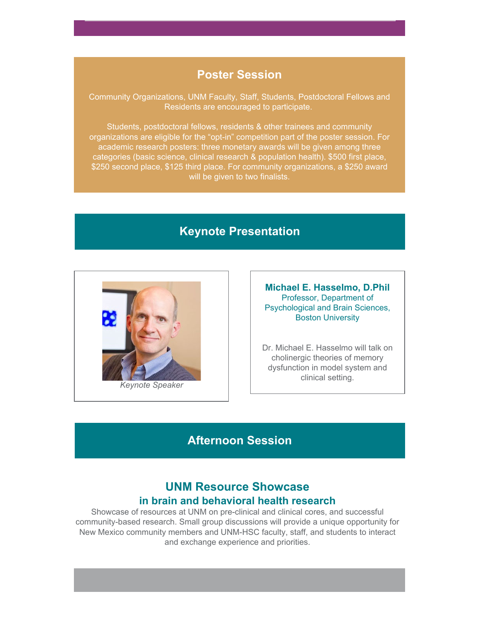#### **Poster Session**

Community Organizations, UNM Faculty, Staff, Students, Postdoctoral Fellows and Residents are encouraged to participate.

Students, postdoctoral fellows, residents & other trainees and community organizations are eligible for the "opt-in" competition part of the poster session. For academic research posters: three monetary awards will be given among three categories (basic science, clinical research & population health). \$500 first place, \$250 second place, \$125 third place. For community organizations, a \$250 award will be given to two finalists.

# **Keynote Presentation**



**Michael E. Hasselmo, D.Phil** Professor, Department of Psychological and Brain Sciences, Boston University

Dr. Michael E. Hasselmo will talk on cholinergic theories of memory dysfunction in model system and clinical setting.

# **Afternoon Session**

## **UNM Resource Showcase in brain and behavioral health research**

Showcase of resources at UNM on pre-clinical and clinical cores, and successful community-based research. Small group discussions will provide a unique opportunity for New Mexico community members and UNM-HSC faculty, staff, and students to interact and exchange experience and priorities.